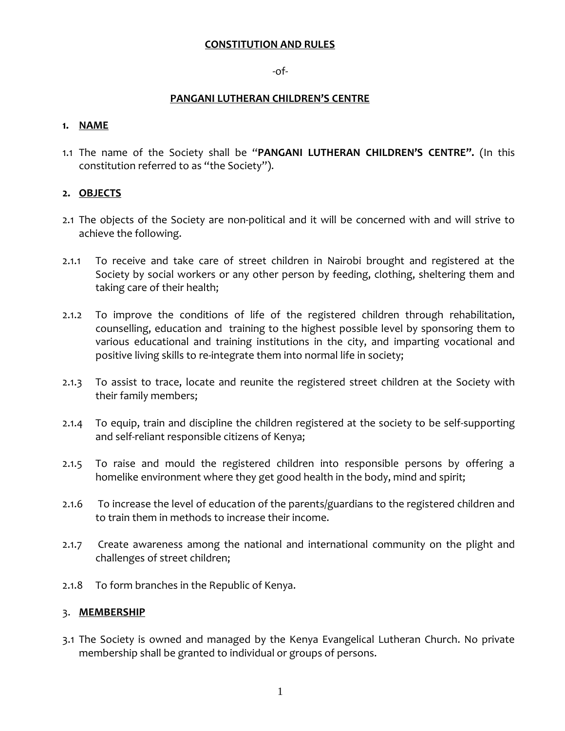#### **CONSTITUTION AND RULES**

## -of-

## **PANGANI LUTHERAN CHILDREN'S CENTRE**

## **1. NAME**

1.1 The name of the Society shall be "**PANGANI LUTHERAN CHILDREN'S CENTRE".** (In this constitution referred to as "the Society").

# **2. OBJECTS**

- 2.1 The objects of the Society are non-political and it will be concerned with and will strive to achieve the following.
- 2.1.1 To receive and take care of street children in Nairobi brought and registered at the Society by social workers or any other person by feeding, clothing, sheltering them and taking care of their health;
- 2.1.2 To improve the conditions of life of the registered children through rehabilitation, counselling, education and training to the highest possible level by sponsoring them to various educational and training institutions in the city, and imparting vocational and positive living skills to re-integrate them into normal life in society;
- 2.1.3 To assist to trace, locate and reunite the registered street children at the Society with their family members;
- 2.1.4 To equip, train and discipline the children registered at the society to be self-supporting and self-reliant responsible citizens of Kenya;
- 2.1.5 To raise and mould the registered children into responsible persons by offering a homelike environment where they get good health in the body, mind and spirit;
- 2.1.6 To increase the level of education of the parents/guardians to the registered children and to train them in methods to increase their income.
- 2.1.7 Create awareness among the national and international community on the plight and challenges of street children;
- 2.1.8 To form branches in the Republic of Kenya.

# 3. **MEMBERSHIP**

3.1 The Society is owned and managed by the Kenya Evangelical Lutheran Church. No private membership shall be granted to individual or groups of persons.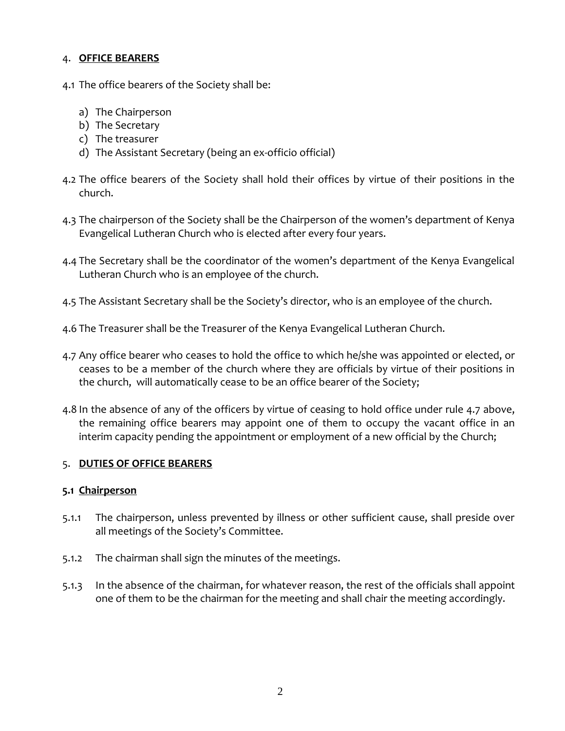## 4. **OFFICE BEARERS**

- 4.1 The office bearers of the Society shall be:
	- a) The Chairperson
	- b) The Secretary
	- c) The treasurer
	- d) The Assistant Secretary (being an ex-officio official)
- 4.2 The office bearers of the Society shall hold their offices by virtue of their positions in the church.
- 4.3 The chairperson of the Society shall be the Chairperson of the women's department of Kenya Evangelical Lutheran Church who is elected after every four years.
- 4.4 The Secretary shall be the coordinator of the women's department of the Kenya Evangelical Lutheran Church who is an employee of the church.
- 4.5 The Assistant Secretary shall be the Society's director, who is an employee of the church.
- 4.6 The Treasurer shall be the Treasurer of the Kenya Evangelical Lutheran Church.
- 4.7 Any office bearer who ceases to hold the office to which he/she was appointed or elected, or ceases to be a member of the church where they are officials by virtue of their positions in the church, will automatically cease to be an office bearer of the Society;
- 4.8 In the absence of any of the officers by virtue of ceasing to hold office under rule 4.7 above, the remaining office bearers may appoint one of them to occupy the vacant office in an interim capacity pending the appointment or employment of a new official by the Church;

# 5. **DUTIES OF OFFICE BEARERS**

#### **5.1 Chairperson**

- 5.1.1 The chairperson, unless prevented by illness or other sufficient cause, shall preside over all meetings of the Society's Committee.
- 5.1.2 The chairman shall sign the minutes of the meetings.
- 5.1.3 In the absence of the chairman, for whatever reason, the rest of the officials shall appoint one of them to be the chairman for the meeting and shall chair the meeting accordingly.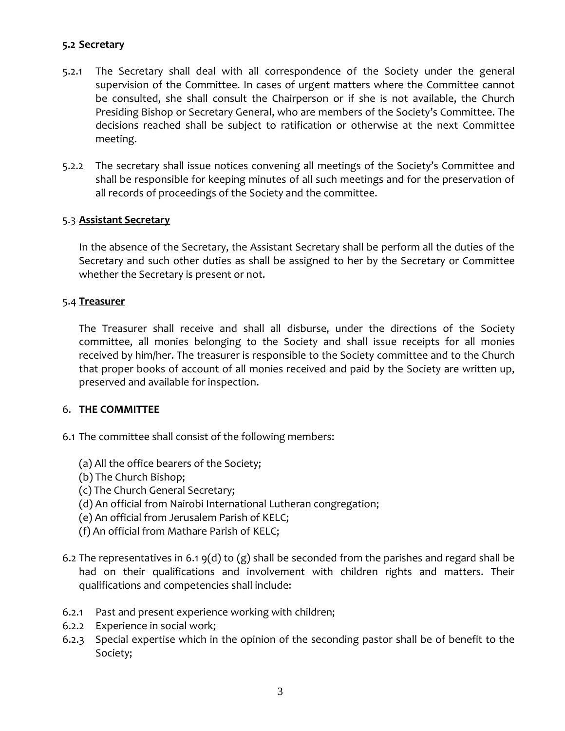# **5.2 Secretary**

- 5.2.1 The Secretary shall deal with all correspondence of the Society under the general supervision of the Committee. In cases of urgent matters where the Committee cannot be consulted, she shall consult the Chairperson or if she is not available, the Church Presiding Bishop or Secretary General, who are members of the Society's Committee. The decisions reached shall be subject to ratification or otherwise at the next Committee meeting.
- 5.2.2 The secretary shall issue notices convening all meetings of the Society's Committee and shall be responsible for keeping minutes of all such meetings and for the preservation of all records of proceedings of the Society and the committee.

# 5.3 **Assistant Secretary**

In the absence of the Secretary, the Assistant Secretary shall be perform all the duties of the Secretary and such other duties as shall be assigned to her by the Secretary or Committee whether the Secretary is present or not.

#### 5.4 **Treasurer**

The Treasurer shall receive and shall all disburse, under the directions of the Society committee, all monies belonging to the Society and shall issue receipts for all monies received by him/her. The treasurer is responsible to the Society committee and to the Church that proper books of account of all monies received and paid by the Society are written up, preserved and available for inspection.

#### 6. **THE COMMITTEE**

- 6.1 The committee shall consist of the following members:
	- (a) All the office bearers of the Society;
	- (b) The Church Bishop;
	- (c) The Church General Secretary;
	- (d) An official from Nairobi International Lutheran congregation;
	- (e) An official from Jerusalem Parish of KELC;
	- (f) An official from Mathare Parish of KELC;
- 6.2 The representatives in 6.1 9(d) to (g) shall be seconded from the parishes and regard shall be had on their qualifications and involvement with children rights and matters. Their qualifications and competencies shall include:
- 6.2.1 Past and present experience working with children;
- 6.2.2 Experience in social work;
- 6.2.3 Special expertise which in the opinion of the seconding pastor shall be of benefit to the Society;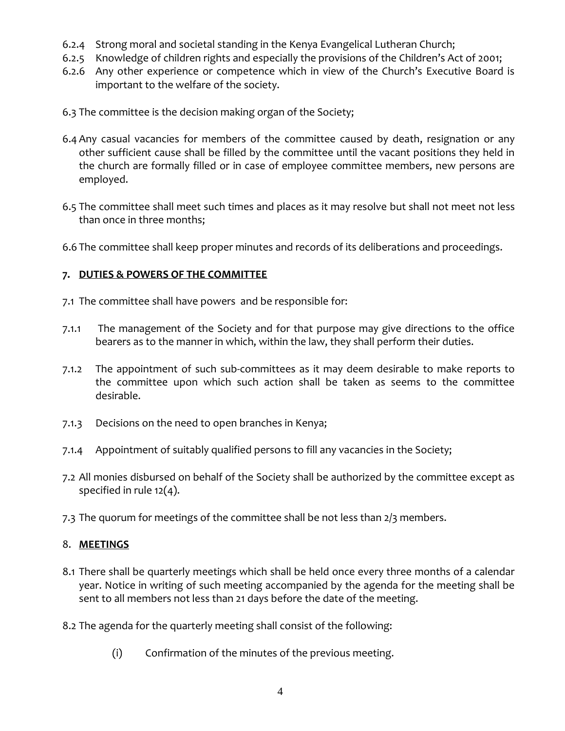- 6.2.4 Strong moral and societal standing in the Kenya Evangelical Lutheran Church;
- 6.2.5 Knowledge of children rights and especially the provisions of the Children's Act of 2001;
- 6.2.6 Any other experience or competence which in view of the Church's Executive Board is important to the welfare of the society.
- 6.3 The committee is the decision making organ of the Society;
- 6.4 Any casual vacancies for members of the committee caused by death, resignation or any other sufficient cause shall be filled by the committee until the vacant positions they held in the church are formally filled or in case of employee committee members, new persons are employed.
- 6.5 The committee shall meet such times and places as it may resolve but shall not meet not less than once in three months;
- 6.6 The committee shall keep proper minutes and records of its deliberations and proceedings.

# **7. DUTIES & POWERS OF THE COMMITTEE**

- 7.1 The committee shall have powers and be responsible for:
- 7.1.1 The management of the Society and for that purpose may give directions to the office bearers as to the manner in which, within the law, they shall perform their duties.
- 7.1.2 The appointment of such sub-committees as it may deem desirable to make reports to the committee upon which such action shall be taken as seems to the committee desirable.
- 7.1.3 Decisions on the need to open branches in Kenya;
- 7.1.4 Appointment of suitably qualified persons to fill any vacancies in the Society;
- 7.2 All monies disbursed on behalf of the Society shall be authorized by the committee except as specified in rule 12(4).
- 7.3 The quorum for meetings of the committee shall be not less than 2/3 members.

# 8. **MEETINGS**

- 8.1 There shall be quarterly meetings which shall be held once every three months of a calendar year. Notice in writing of such meeting accompanied by the agenda for the meeting shall be sent to all members not less than 21 days before the date of the meeting.
- 8.2 The agenda for the quarterly meeting shall consist of the following:
	- (i) Confirmation of the minutes of the previous meeting.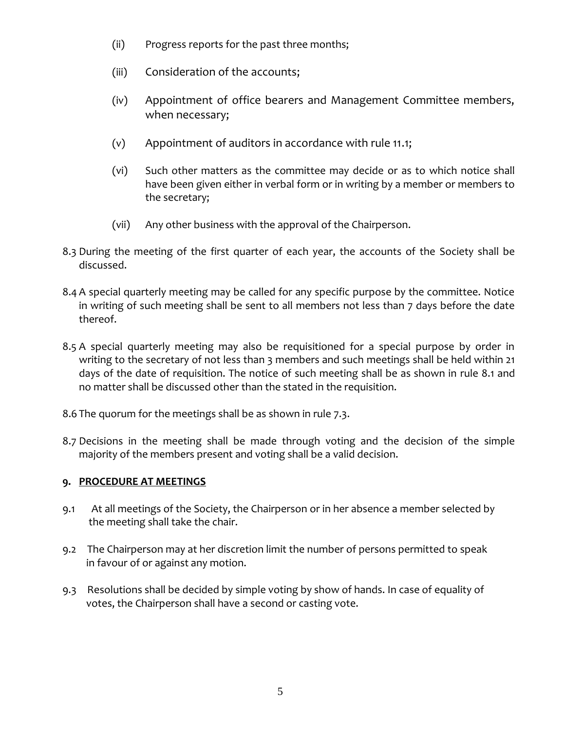- (ii) Progress reports for the past three months;
- (iii) Consideration of the accounts;
- (iv) Appointment of office bearers and Management Committee members, when necessary;
- (v) Appointment of auditors in accordance with rule 11.1;
- (vi) Such other matters as the committee may decide or as to which notice shall have been given either in verbal form or in writing by a member or members to the secretary;
- (vii) Any other business with the approval of the Chairperson.
- 8.3 During the meeting of the first quarter of each year, the accounts of the Society shall be discussed.
- 8.4 A special quarterly meeting may be called for any specific purpose by the committee. Notice in writing of such meeting shall be sent to all members not less than 7 days before the date thereof.
- 8.5 A special quarterly meeting may also be requisitioned for a special purpose by order in writing to the secretary of not less than 3 members and such meetings shall be held within 21 days of the date of requisition. The notice of such meeting shall be as shown in rule 8.1 and no matter shall be discussed other than the stated in the requisition.
- 8.6 The quorum for the meetings shall be as shown in rule 7.3.
- 8.7 Decisions in the meeting shall be made through voting and the decision of the simple majority of the members present and voting shall be a valid decision.

# **9. PROCEDURE AT MEETINGS**

- 9.1 At all meetings of the Society, the Chairperson or in her absence a member selected by the meeting shall take the chair.
- 9.2 The Chairperson may at her discretion limit the number of persons permitted to speak in favour of or against any motion.
- 9.3 Resolutions shall be decided by simple voting by show of hands. In case of equality of votes, the Chairperson shall have a second or casting vote.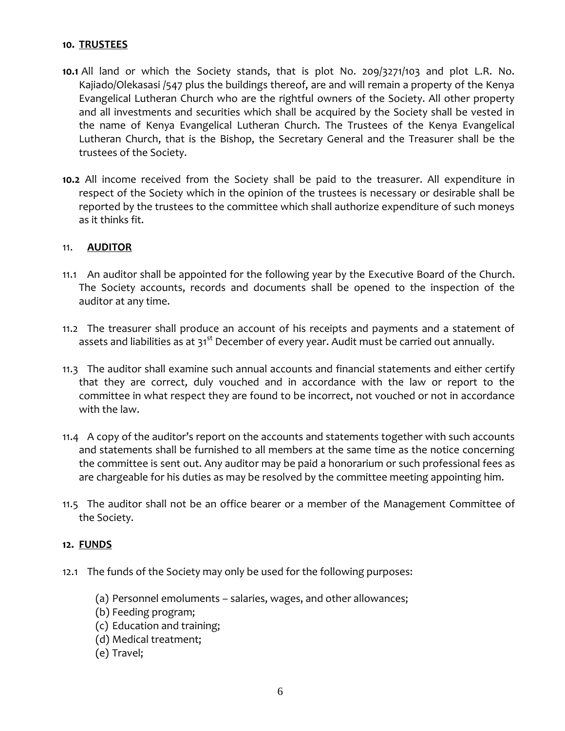### **10. TRUSTEES**

- **10.1** All land or which the Society stands, that is plot No. 209/3271/103 and plot L.R. No. Kajiado/Olekasasi /547 plus the buildings thereof, are and will remain a property of the Kenya Evangelical Lutheran Church who are the rightful owners of the Society. All other property and all investments and securities which shall be acquired by the Society shall be vested in the name of Kenya Evangelical Lutheran Church. The Trustees of the Kenya Evangelical Lutheran Church, that is the Bishop, the Secretary General and the Treasurer shall be the trustees of the Society.
- **10.2** All income received from the Society shall be paid to the treasurer. All expenditure in respect of the Society which in the opinion of the trustees is necessary or desirable shall be reported by the trustees to the committee which shall authorize expenditure of such moneys as it thinks fit.

## 11. **AUDITOR**

- 11.1 An auditor shall be appointed for the following year by the Executive Board of the Church. The Society accounts, records and documents shall be opened to the inspection of the auditor at any time.
- 11.2 The treasurer shall produce an account of his receipts and payments and a statement of assets and liabilities as at 31<sup>st</sup> December of every year. Audit must be carried out annually.
- 11.3 The auditor shall examine such annual accounts and financial statements and either certify that they are correct, duly vouched and in accordance with the law or report to the committee in what respect they are found to be incorrect, not vouched or not in accordance with the law.
- 11.4 A copy of the auditor's report on the accounts and statements together with such accounts and statements shall be furnished to all members at the same time as the notice concerning the committee is sent out. Any auditor may be paid a honorarium or such professional fees as are chargeable for his duties as may be resolved by the committee meeting appointing him.
- 11.5 The auditor shall not be an office bearer or a member of the Management Committee of the Society.

#### **12. FUNDS**

- 12.1 The funds of the Society may only be used for the following purposes:
	- (a) Personnel emoluments salaries, wages, and other allowances;
	- (b) Feeding program;
	- (c) Education and training;
	- (d) Medical treatment;
	- (e) Travel;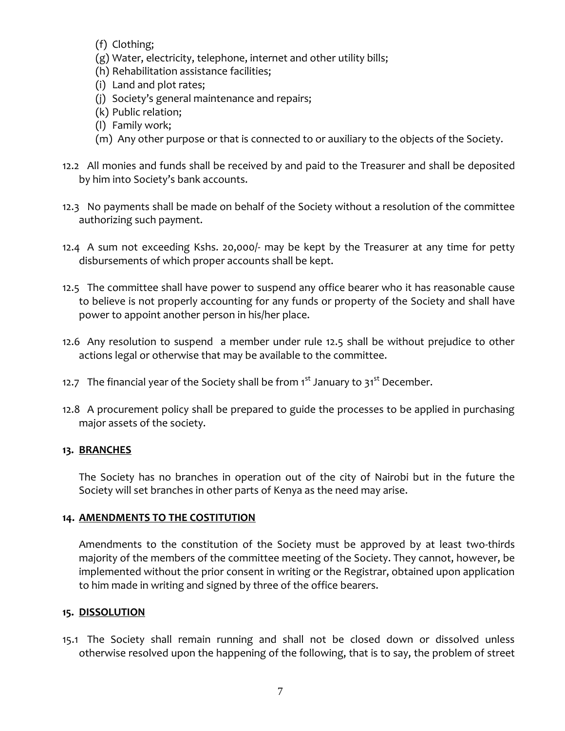(f) Clothing;

- (g) Water, electricity, telephone, internet and other utility bills;
- (h) Rehabilitation assistance facilities;
- (i) Land and plot rates;
- (j) Society's general maintenance and repairs;
- (k) Public relation;
- (l) Family work;
- (m) Any other purpose or that is connected to or auxiliary to the objects of the Society.
- 12.2 All monies and funds shall be received by and paid to the Treasurer and shall be deposited by him into Society's bank accounts.
- 12.3 No payments shall be made on behalf of the Society without a resolution of the committee authorizing such payment.
- 12.4 A sum not exceeding Kshs. 20,000/- may be kept by the Treasurer at any time for petty disbursements of which proper accounts shall be kept.
- 12.5 The committee shall have power to suspend any office bearer who it has reasonable cause to believe is not properly accounting for any funds or property of the Society and shall have power to appoint another person in his/her place.
- 12.6 Any resolution to suspend a member under rule 12.5 shall be without prejudice to other actions legal or otherwise that may be available to the committee.
- 12.7 The financial year of the Society shall be from  $1<sup>st</sup>$  January to  $31<sup>st</sup>$  December.
- 12.8 A procurement policy shall be prepared to guide the processes to be applied in purchasing major assets of the society.

# **13. BRANCHES**

The Society has no branches in operation out of the city of Nairobi but in the future the Society will set branches in other parts of Kenya as the need may arise.

# **14. AMENDMENTS TO THE COSTITUTION**

Amendments to the constitution of the Society must be approved by at least two-thirds majority of the members of the committee meeting of the Society. They cannot, however, be implemented without the prior consent in writing or the Registrar, obtained upon application to him made in writing and signed by three of the office bearers.

# **15. DISSOLUTION**

15.1 The Society shall remain running and shall not be closed down or dissolved unless otherwise resolved upon the happening of the following, that is to say, the problem of street